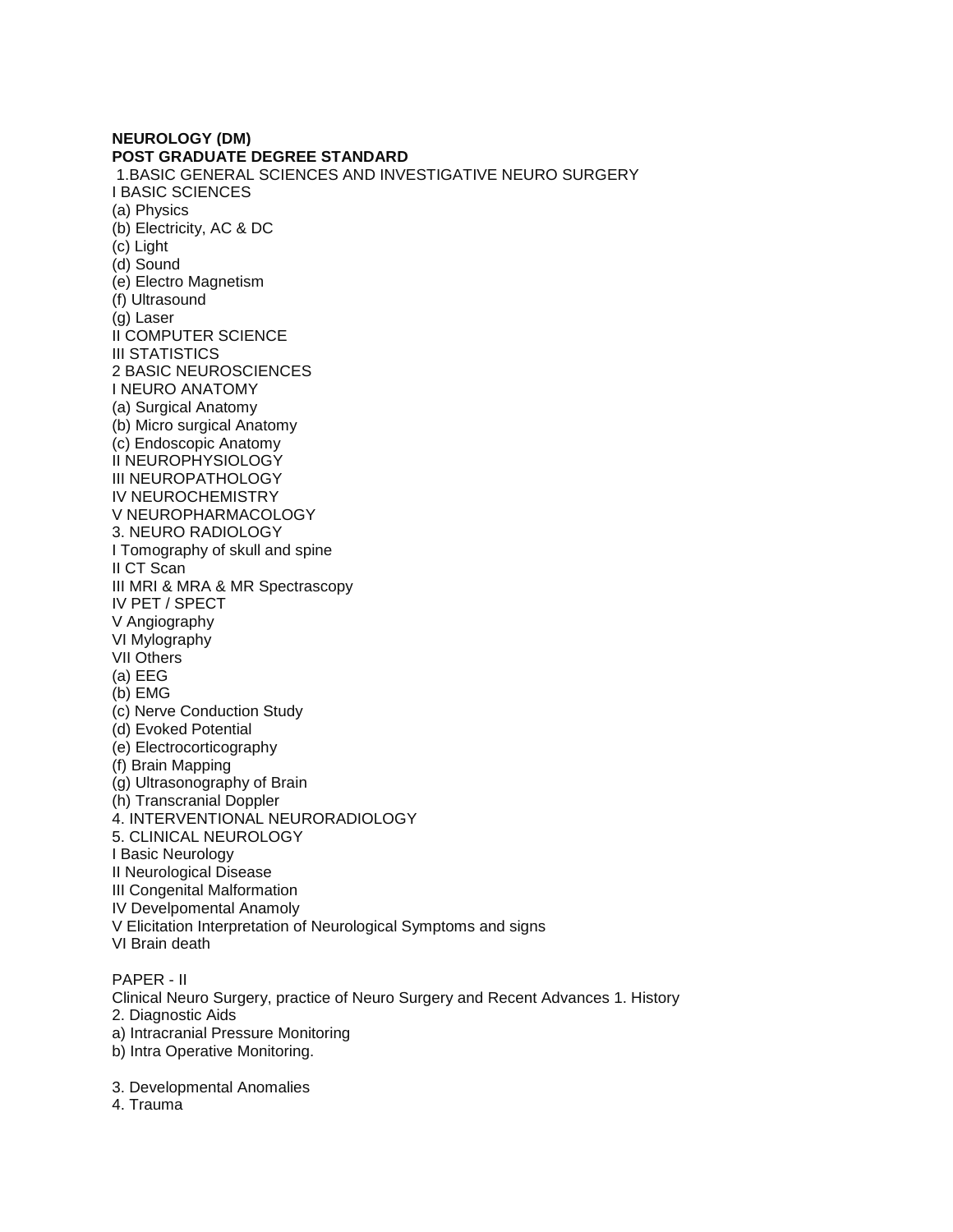**[NEUROLOGY \(DM\)](http://tnpsc.gov.in/neurology_dm.htm) POST GRADUATE DEGREE STANDARD** 1.BASIC GENERAL SCIENCES AND INVESTIGATIVE NEURO SURGERY I BASIC SCIENCES (a) Physics (b) Electricity, AC & DC (c) Light (d) Sound (e) Electro Magnetism (f) Ultrasound (g) Laser II COMPUTER SCIENCE III STATISTICS 2 BASIC NEUROSCIENCES I NEURO ANATOMY (a) Surgical Anatomy (b) Micro surgical Anatomy (c) Endoscopic Anatomy II NEUROPHYSIOLOGY III NEUROPATHOLOGY IV NEUROCHEMISTRY V NEUROPHARMACOLOGY 3. NEURO RADIOLOGY I Tomography of skull and spine II CT Scan III MRI & MRA & MR Spectrascopy IV PET / SPECT V Angiography VI Mylography VII Others (a) EEG (b) EMG (c) Nerve Conduction Study (d) Evoked Potential (e) Electrocorticography (f) Brain Mapping (g) Ultrasonography of Brain (h) Transcranial Doppler 4. INTERVENTIONAL NEURORADIOLOGY 5. CLINICAL NEUROLOGY I Basic Neurology II Neurological Disease III Congenital Malformation IV Develpomental Anamoly V Elicitation Interpretation of Neurological Symptoms and signs VI Brain death PAPER - II

Clinical Neuro Surgery, practice of Neuro Surgery and Recent Advances 1. History 2. Diagnostic Aids a) Intracranial Pressure Monitoring b) Intra Operative Monitoring.

3. Developmental Anomalies

4. Trauma